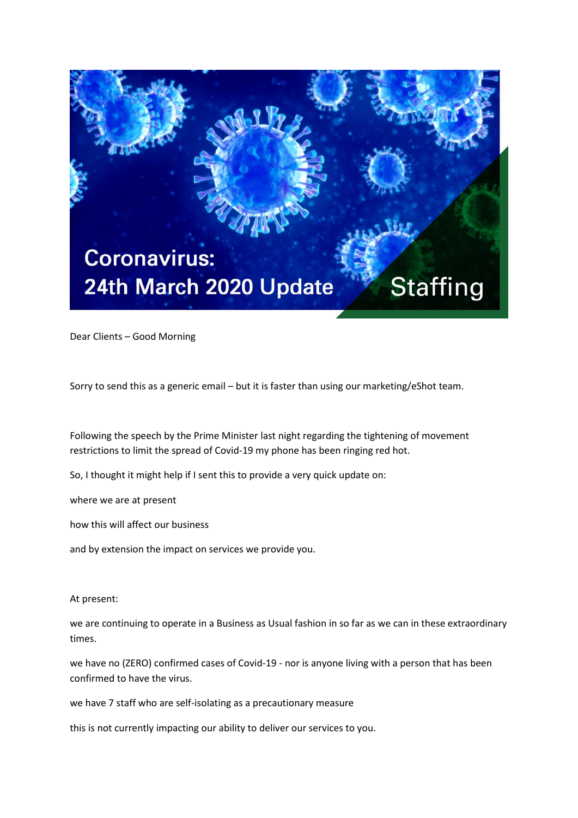

Dear Clients – Good Morning

Sorry to send this as a generic email – but it is faster than using our marketing/eShot team.

Following the speech by the Prime Minister last night regarding the tightening of movement restrictions to limit the spread of Covid-19 my phone has been ringing red hot.

So, I thought it might help if I sent this to provide a very quick update on:

where we are at present

how this will affect our business

and by extension the impact on services we provide you.

At present:

we are continuing to operate in a Business as Usual fashion in so far as we can in these extraordinary times.

we have no (ZERO) confirmed cases of Covid-19 - nor is anyone living with a person that has been confirmed to have the virus.

we have 7 staff who are self-isolating as a precautionary measure

this is not currently impacting our ability to deliver our services to you.